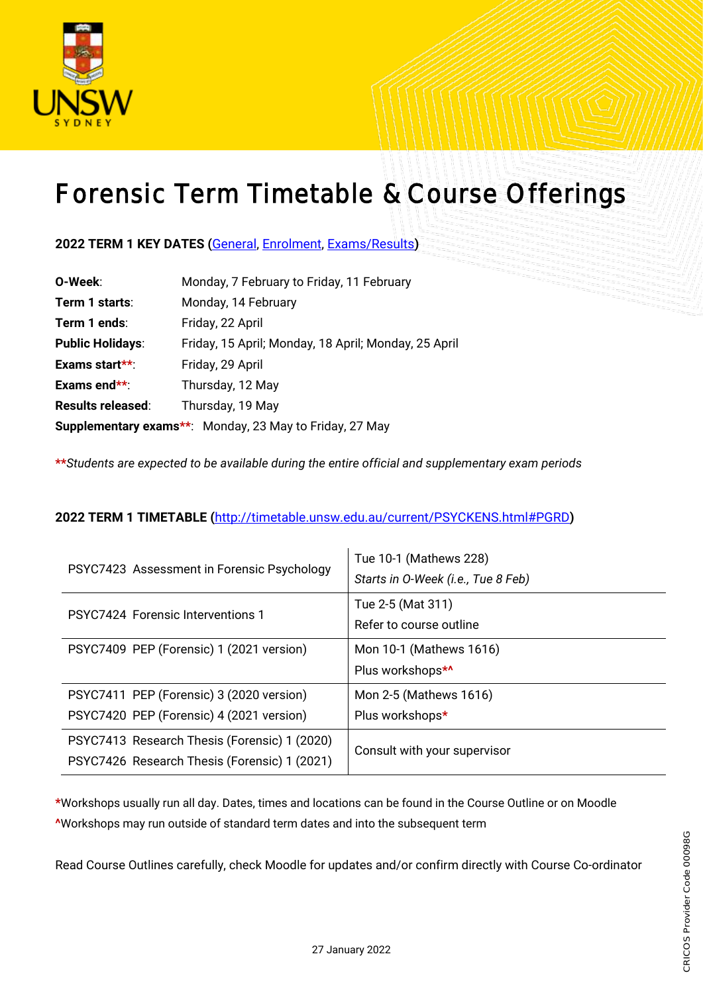

## Forensic Term Timetable & Course Offerings

## **2022 TERM 1 KEY DATES (**[General,](https://student.unsw.edu.au/dates) [Enrolment,](https://student.unsw.edu.au/enrolment-dates) [Exams/Results](https://student.unsw.edu.au/exam-dates)**)**

| O-Week:                  | Monday, 7 February to Friday, 11 February                      |
|--------------------------|----------------------------------------------------------------|
| Term 1 starts:           | Monday, 14 February                                            |
| Term 1 ends:             | Friday, 22 April                                               |
| <b>Public Holidays:</b>  | Friday, 15 April; Monday, 18 April; Monday, 25 April           |
| Exams start**:           | Friday, 29 April                                               |
| Exams end**:             | Thursday, 12 May                                               |
| <b>Results released:</b> | Thursday, 19 May                                               |
|                          | <b>Supplementary exams**:</b> Monday, 23 May to Friday, 27 May |

**\*\****Students are expected to be available during the entire official and supplementary exam periods* 

## **2022 TERM 1 TIMETABLE (**<http://timetable.unsw.edu.au/current/PSYCKENS.html#PGRD>**)**

| PSYC7423 Assessment in Forensic Psychology   | Tue 10-1 (Mathews 228)             |  |  |
|----------------------------------------------|------------------------------------|--|--|
|                                              | Starts in O-Week (i.e., Tue 8 Feb) |  |  |
| <b>PSYC7424 Forensic Interventions 1</b>     | Tue 2-5 (Mat 311)                  |  |  |
|                                              | Refer to course outline            |  |  |
| PSYC7409 PEP (Forensic) 1 (2021 version)     | Mon 10-1 (Mathews 1616)            |  |  |
|                                              | Plus workshops*^                   |  |  |
| PSYC7411 PEP (Forensic) 3 (2020 version)     | Mon 2-5 (Mathews 1616)             |  |  |
| PSYC7420 PEP (Forensic) 4 (2021 version)     | Plus workshops*                    |  |  |
| PSYC7413 Research Thesis (Forensic) 1 (2020) | Consult with your supervisor       |  |  |
| PSYC7426 Research Thesis (Forensic) 1 (2021) |                                    |  |  |

**\***Workshops usually run all day. Dates, times and locations can be found in the Course Outline or on Moodle **^**Workshops may run outside of standard term dates and into the subsequent term

Read Course Outlines carefully, check Moodle for updates and/or confirm directly with Course Co-ordinator